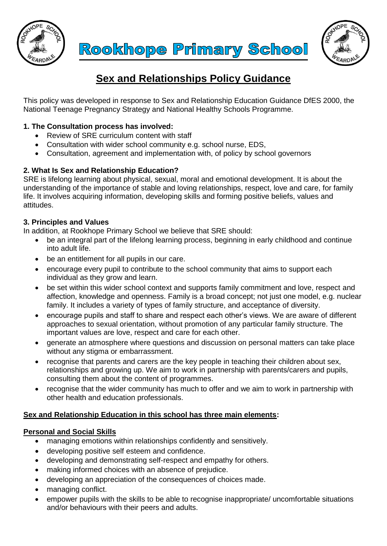





# **Sex and Relationships Policy Guidance**

This policy was developed in response to Sex and Relationship Education Guidance DfES 2000, the National Teenage Pregnancy Strategy and National Healthy Schools Programme.

# **1. The Consultation process has involved:**

- Review of SRE curriculum content with staff
- Consultation with wider school community e.g. school nurse, EDS,
- Consultation, agreement and implementation with, of policy by school governors

# **2. What Is Sex and Relationship Education?**

SRE is lifelong learning about physical, sexual, moral and emotional development. It is about the understanding of the importance of stable and loving relationships, respect, love and care, for family life. It involves acquiring information, developing skills and forming positive beliefs, values and attitudes.

# **3. Principles and Values**

In addition, at Rookhope Primary School we believe that SRE should:

- be an integral part of the lifelong learning process, beginning in early childhood and continue into adult life.
- be an entitlement for all pupils in our care.
- encourage every pupil to contribute to the school community that aims to support each individual as they grow and learn.
- be set within this wider school context and supports family commitment and love, respect and affection, knowledge and openness. Family is a broad concept; not just one model, e.g. nuclear family. It includes a variety of types of family structure, and acceptance of diversity.
- encourage pupils and staff to share and respect each other's views. We are aware of different approaches to sexual orientation, without promotion of any particular family structure. The important values are love, respect and care for each other.
- generate an atmosphere where questions and discussion on personal matters can take place without any stigma or embarrassment.
- recognise that parents and carers are the key people in teaching their children about sex, relationships and growing up. We aim to work in partnership with parents/carers and pupils, consulting them about the content of programmes.
- recognise that the wider community has much to offer and we aim to work in partnership with other health and education professionals.

# **Sex and Relationship Education in this school has three main elements:**

# **Personal and Social Skills**

- managing emotions within relationships confidently and sensitively.
- developing positive self esteem and confidence.
- developing and demonstrating self-respect and empathy for others.
- making informed choices with an absence of prejudice.
- developing an appreciation of the consequences of choices made.
- managing conflict.
- empower pupils with the skills to be able to recognise inappropriate/ uncomfortable situations and/or behaviours with their peers and adults.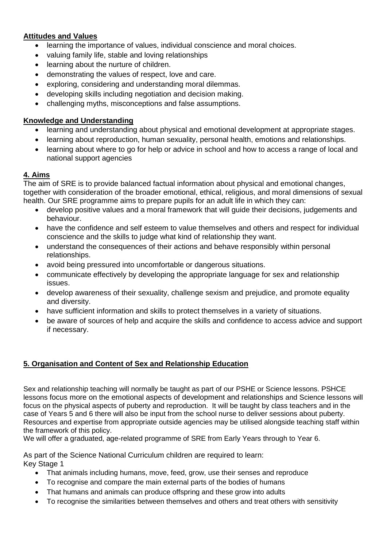# **Attitudes and Values**

- learning the importance of values, individual conscience and moral choices.
- valuing family life, stable and loving relationships
- learning about the nurture of children.
- demonstrating the values of respect, love and care.
- exploring, considering and understanding moral dilemmas.
- developing skills including negotiation and decision making.
- challenging myths, misconceptions and false assumptions.

#### **Knowledge and Understanding**

- learning and understanding about physical and emotional development at appropriate stages.
- learning about reproduction, human sexuality, personal health, emotions and relationships.
- learning about where to go for help or advice in school and how to access a range of local and national support agencies

#### **4. Aims**

The aim of SRE is to provide balanced factual information about physical and emotional changes, together with consideration of the broader emotional, ethical, religious, and moral dimensions of sexual health. Our SRE programme aims to prepare pupils for an adult life in which they can:

- develop positive values and a moral framework that will guide their decisions, judgements and behaviour.
- have the confidence and self esteem to value themselves and others and respect for individual conscience and the skills to judge what kind of relationship they want.
- understand the consequences of their actions and behave responsibly within personal relationships.
- avoid being pressured into uncomfortable or dangerous situations.
- communicate effectively by developing the appropriate language for sex and relationship issues.
- develop awareness of their sexuality, challenge sexism and prejudice, and promote equality and diversity.
- have sufficient information and skills to protect themselves in a variety of situations.
- be aware of sources of help and acquire the skills and confidence to access advice and support if necessary.

# **5. Organisation and Content of Sex and Relationship Education**

Sex and relationship teaching will normally be taught as part of our PSHE or Science lessons. PSHCE lessons focus more on the emotional aspects of development and relationships and Science lessons will focus on the physical aspects of puberty and reproduction. It will be taught by class teachers and in the case of Years 5 and 6 there will also be input from the school nurse to deliver sessions about puberty. Resources and expertise from appropriate outside agencies may be utilised alongside teaching staff within the framework of this policy.

We will offer a graduated, age-related programme of SRE from Early Years through to Year 6.

As part of the Science National Curriculum children are required to learn: Key Stage 1

- That animals including humans, move, feed, grow, use their senses and reproduce
- To recognise and compare the main external parts of the bodies of humans
- That humans and animals can produce offspring and these grow into adults
- To recognise the similarities between themselves and others and treat others with sensitivity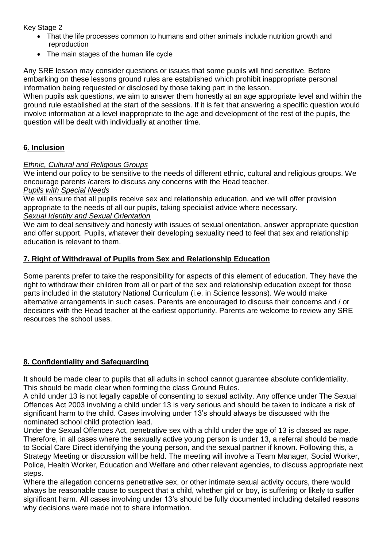Key Stage 2

- That the life processes common to humans and other animals include nutrition growth and reproduction
- The main stages of the human life cycle

Any SRE lesson may consider questions or issues that some pupils will find sensitive. Before embarking on these lessons ground rules are established which prohibit inappropriate personal information being requested or disclosed by those taking part in the lesson.

When pupils ask questions, we aim to answer them honestly at an age appropriate level and within the ground rule established at the start of the sessions. If it is felt that answering a specific question would involve information at a level inappropriate to the age and development of the rest of the pupils, the question will be dealt with individually at another time.

# **6. Inclusion**

#### *Ethnic, Cultural and Religious Groups*

We intend our policy to be sensitive to the needs of different ethnic, cultural and religious groups. We encourage parents /carers to discuss any concerns with the Head teacher.

#### *Pupils with Special Needs*

We will ensure that all pupils receive sex and relationship education, and we will offer provision appropriate to the needs of all our pupils, taking specialist advice where necessary. *Sexual Identity and Sexual Orientation* 

We aim to deal sensitively and honesty with issues of sexual orientation, answer appropriate question and offer support. Pupils, whatever their developing sexuality need to feel that sex and relationship education is relevant to them.

#### **7. Right of Withdrawal of Pupils from Sex and Relationship Education**

Some parents prefer to take the responsibility for aspects of this element of education. They have the right to withdraw their children from all or part of the sex and relationship education except for those parts included in the statutory National Curriculum (i.e. in Science lessons). We would make alternative arrangements in such cases. Parents are encouraged to discuss their concerns and / or decisions with the Head teacher at the earliest opportunity. Parents are welcome to review any SRE resources the school uses.

# **8. Confidentiality and Safeguarding**

It should be made clear to pupils that all adults in school cannot guarantee absolute confidentiality. This should be made clear when forming the class Ground Rules.

A child under 13 is not legally capable of consenting to sexual activity. Any offence under The Sexual Offences Act 2003 involving a child under 13 is very serious and should be taken to indicate a risk of significant harm to the child. Cases involving under 13's should always be discussed with the nominated school child protection lead.

Under the Sexual Offences Act, penetrative sex with a child under the age of 13 is classed as rape. Therefore, in all cases where the sexually active young person is under 13, a referral should be made to Social Care Direct identifying the young person, and the sexual partner if known. Following this, a Strategy Meeting or discussion will be held. The meeting will involve a Team Manager, Social Worker, Police, Health Worker, Education and Welfare and other relevant agencies, to discuss appropriate next steps.

Where the allegation concerns penetrative sex, or other intimate sexual activity occurs, there would always be reasonable cause to suspect that a child, whether girl or boy, is suffering or likely to suffer significant harm. All cases involving under 13's should be fully documented including detailed reasons why decisions were made not to share information.